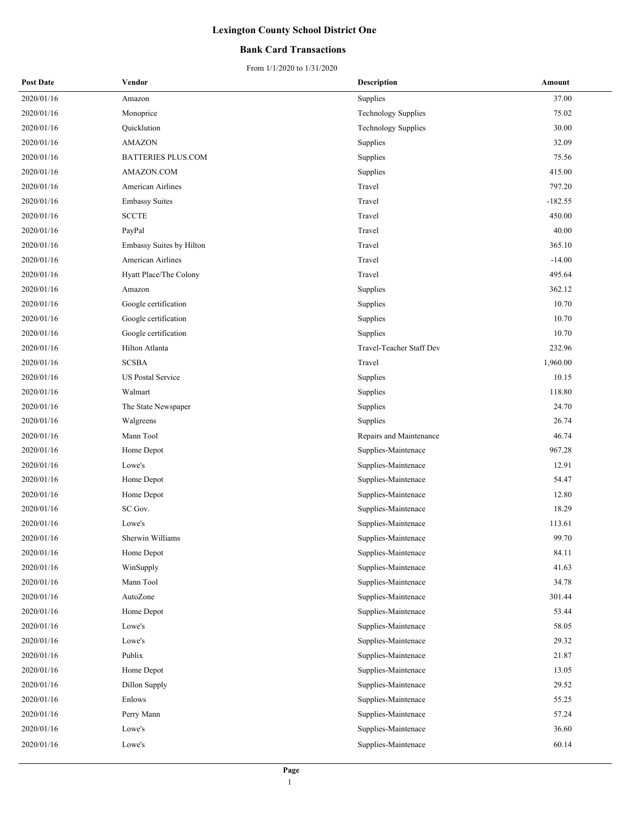### **Bank Card Transactions**

| <b>Post Date</b> | Vendor                    | <b>Description</b>         | Amount    |
|------------------|---------------------------|----------------------------|-----------|
| 2020/01/16       | Amazon                    | Supplies                   | 37.00     |
| 2020/01/16       | Monoprice                 | <b>Technology Supplies</b> | 75.02     |
| 2020/01/16       | Quicklution               | <b>Technology Supplies</b> | 30.00     |
| 2020/01/16       | AMAZON                    | Supplies                   | 32.09     |
| 2020/01/16       | <b>BATTERIES PLUS.COM</b> | Supplies                   | 75.56     |
| 2020/01/16       | AMAZON.COM                | Supplies                   | 415.00    |
| 2020/01/16       | American Airlines         | Travel                     | 797.20    |
| 2020/01/16       | <b>Embassy Suites</b>     | Travel                     | $-182.55$ |
| 2020/01/16       | <b>SCCTE</b>              | Travel                     | 450.00    |
| 2020/01/16       | PayPal                    | Travel                     | 40.00     |
| 2020/01/16       | Embassy Suites by Hilton  | Travel                     | 365.10    |
| 2020/01/16       | American Airlines         | Travel                     | $-14.00$  |
| 2020/01/16       | Hyatt Place/The Colony    | Travel                     | 495.64    |
| 2020/01/16       | Amazon                    | Supplies                   | 362.12    |
| 2020/01/16       | Google certification      | Supplies                   | 10.70     |
| 2020/01/16       | Google certification      | Supplies                   | 10.70     |
| 2020/01/16       | Google certification      | Supplies                   | 10.70     |
| 2020/01/16       | Hilton Atlanta            | Travel-Teacher Staff Dev   | 232.96    |
| 2020/01/16       | <b>SCSBA</b>              | Travel                     | 1,960.00  |
| 2020/01/16       | US Postal Service         | Supplies                   | 10.15     |
| 2020/01/16       | Walmart                   | Supplies                   | 118.80    |
| 2020/01/16       | The State Newspaper       | Supplies                   | 24.70     |
| 2020/01/16       | Walgreens                 | Supplies                   | 26.74     |
| 2020/01/16       | Mann Tool                 | Repairs and Maintenance    | 46.74     |
| 2020/01/16       | Home Depot                | Supplies-Maintenace        | 967.28    |
| 2020/01/16       | Lowe's                    | Supplies-Maintenace        | 12.91     |
| 2020/01/16       | Home Depot                | Supplies-Maintenace        | 54.47     |
| 2020/01/16       | Home Depot                | Supplies-Maintenace        | 12.80     |
| 2020/01/16       | SC Gov.                   | Supplies-Maintenace        | 18.29     |
| 2020/01/16       | Lowe's                    | Supplies-Maintenace        | 113.61    |
| 2020/01/16       | Sherwin Williams          | Supplies-Maintenace        | 99.70     |
| 2020/01/16       | Home Depot                | Supplies-Maintenace        | 84.11     |
| 2020/01/16       | WinSupply                 | Supplies-Maintenace        | 41.63     |
| 2020/01/16       | Mann Tool                 | Supplies-Maintenace        | 34.78     |
| 2020/01/16       | AutoZone                  | Supplies-Maintenace        | 301.44    |
| 2020/01/16       | Home Depot                | Supplies-Maintenace        | 53.44     |
| 2020/01/16       | Lowe's                    | Supplies-Maintenace        | 58.05     |
| 2020/01/16       | Lowe's                    | Supplies-Maintenace        | 29.32     |
| 2020/01/16       | Publix                    | Supplies-Maintenace        | 21.87     |
| 2020/01/16       | Home Depot                | Supplies-Maintenace        | 13.05     |
| 2020/01/16       | Dillon Supply             | Supplies-Maintenace        | 29.52     |
| 2020/01/16       | Enlows                    | Supplies-Maintenace        | 55.25     |
| 2020/01/16       | Perry Mann                | Supplies-Maintenace        | 57.24     |
| 2020/01/16       | Lowe's                    | Supplies-Maintenace        | 36.60     |
| 2020/01/16       | Lowe's                    | Supplies-Maintenace        | 60.14     |
|                  |                           |                            |           |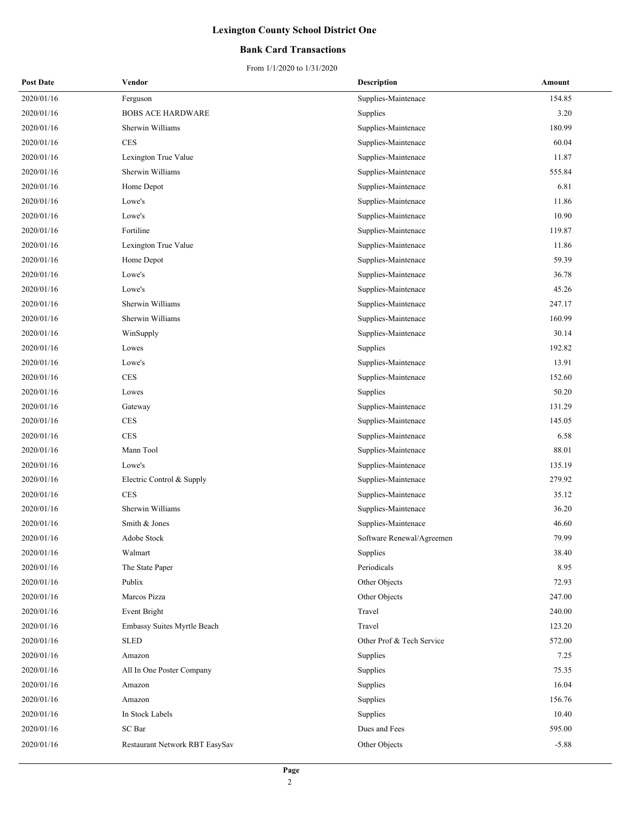### **Bank Card Transactions**

| <b>Post Date</b> | Vendor                         | <b>Description</b>        | Amount  |
|------------------|--------------------------------|---------------------------|---------|
| 2020/01/16       | Ferguson                       | Supplies-Maintenace       | 154.85  |
| 2020/01/16       | <b>BOBS ACE HARDWARE</b>       | Supplies                  | 3.20    |
| 2020/01/16       | Sherwin Williams               | Supplies-Maintenace       | 180.99  |
| 2020/01/16       | <b>CES</b>                     | Supplies-Maintenace       | 60.04   |
| 2020/01/16       | Lexington True Value           | Supplies-Maintenace       | 11.87   |
| 2020/01/16       | Sherwin Williams               | Supplies-Maintenace       | 555.84  |
| 2020/01/16       | Home Depot                     | Supplies-Maintenace       | 6.81    |
| 2020/01/16       | Lowe's                         | Supplies-Maintenace       | 11.86   |
| 2020/01/16       | Lowe's                         | Supplies-Maintenace       | 10.90   |
| 2020/01/16       | Fortiline                      | Supplies-Maintenace       | 119.87  |
| 2020/01/16       | Lexington True Value           | Supplies-Maintenace       | 11.86   |
| 2020/01/16       | Home Depot                     | Supplies-Maintenace       | 59.39   |
| 2020/01/16       | Lowe's                         | Supplies-Maintenace       | 36.78   |
| 2020/01/16       | Lowe's                         | Supplies-Maintenace       | 45.26   |
| 2020/01/16       | Sherwin Williams               | Supplies-Maintenace       | 247.17  |
| 2020/01/16       | Sherwin Williams               | Supplies-Maintenace       | 160.99  |
| 2020/01/16       | WinSupply                      | Supplies-Maintenace       | 30.14   |
| 2020/01/16       | Lowes                          | Supplies                  | 192.82  |
| 2020/01/16       | Lowe's                         | Supplies-Maintenace       | 13.91   |
| 2020/01/16       | <b>CES</b>                     | Supplies-Maintenace       | 152.60  |
| 2020/01/16       | Lowes                          | Supplies                  | 50.20   |
| 2020/01/16       | Gateway                        | Supplies-Maintenace       | 131.29  |
| 2020/01/16       | $\mbox{CES}$                   | Supplies-Maintenace       | 145.05  |
| 2020/01/16       | <b>CES</b>                     | Supplies-Maintenace       | 6.58    |
| 2020/01/16       | Mann Tool                      | Supplies-Maintenace       | 88.01   |
| 2020/01/16       | Lowe's                         | Supplies-Maintenace       | 135.19  |
| 2020/01/16       | Electric Control & Supply      | Supplies-Maintenace       | 279.92  |
| 2020/01/16       | <b>CES</b>                     | Supplies-Maintenace       | 35.12   |
| 2020/01/16       | Sherwin Williams               | Supplies-Maintenace       | 36.20   |
| 2020/01/16       | Smith & Jones                  | Supplies-Maintenace       | 46.60   |
| 2020/01/16       | Adobe Stock                    | Software Renewal/Agreemen | 79.99   |
| 2020/01/16       | Walmart                        | Supplies                  | 38.40   |
| 2020/01/16       | The State Paper                | Periodicals               | 8.95    |
| 2020/01/16       | Publix                         | Other Objects             | 72.93   |
| 2020/01/16       | Marcos Pizza                   | Other Objects             | 247.00  |
| 2020/01/16       | Event Bright                   | Travel                    | 240.00  |
| 2020/01/16       | Embassy Suites Myrtle Beach    | Travel                    | 123.20  |
| 2020/01/16       | <b>SLED</b>                    | Other Prof & Tech Service | 572.00  |
| 2020/01/16       | Amazon                         | Supplies                  | 7.25    |
| 2020/01/16       | All In One Poster Company      | Supplies                  | 75.35   |
| 2020/01/16       | Amazon                         | Supplies                  | 16.04   |
| 2020/01/16       | Amazon                         | Supplies                  | 156.76  |
| 2020/01/16       | In Stock Labels                | Supplies                  | 10.40   |
| 2020/01/16       | SC Bar                         | Dues and Fees             | 595.00  |
| 2020/01/16       | Restaurant Network RBT EasySav | Other Objects             | $-5.88$ |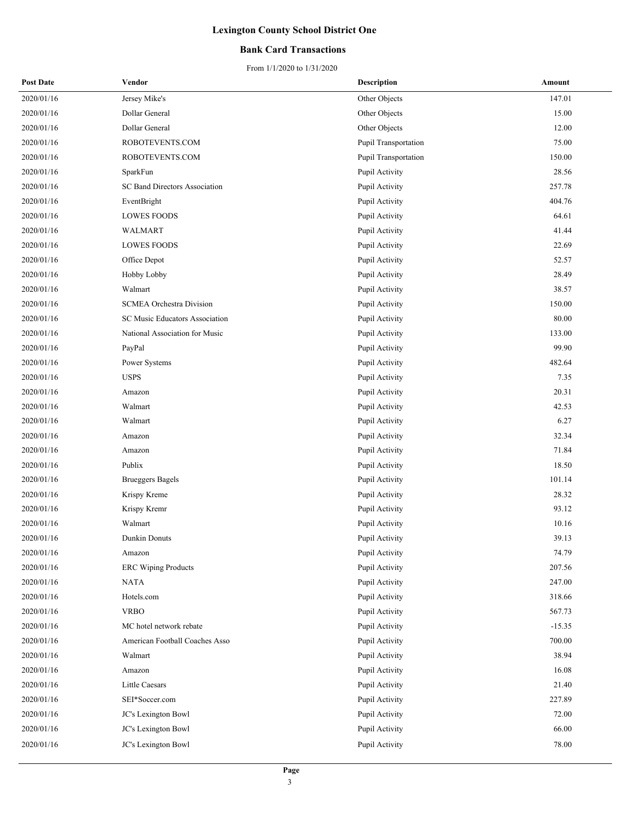### **Bank Card Transactions**

| <b>Post Date</b> | Vendor                          | <b>Description</b>   | Amount   |
|------------------|---------------------------------|----------------------|----------|
| 2020/01/16       | Jersey Mike's                   | Other Objects        | 147.01   |
| 2020/01/16       | Dollar General                  | Other Objects        | 15.00    |
| 2020/01/16       | Dollar General                  | Other Objects        | 12.00    |
| 2020/01/16       | ROBOTEVENTS.COM                 | Pupil Transportation | 75.00    |
| 2020/01/16       | ROBOTEVENTS.COM                 | Pupil Transportation | 150.00   |
| 2020/01/16       | SparkFun                        | Pupil Activity       | 28.56    |
| 2020/01/16       | SC Band Directors Association   | Pupil Activity       | 257.78   |
| 2020/01/16       | EventBright                     | Pupil Activity       | 404.76   |
| 2020/01/16       | <b>LOWES FOODS</b>              | Pupil Activity       | 64.61    |
| 2020/01/16       | WALMART                         | Pupil Activity       | 41.44    |
| 2020/01/16       | <b>LOWES FOODS</b>              | Pupil Activity       | 22.69    |
| 2020/01/16       | Office Depot                    | Pupil Activity       | 52.57    |
| 2020/01/16       | Hobby Lobby                     | Pupil Activity       | 28.49    |
| 2020/01/16       | Walmart                         | Pupil Activity       | 38.57    |
| 2020/01/16       | <b>SCMEA Orchestra Division</b> | Pupil Activity       | 150.00   |
| 2020/01/16       | SC Music Educators Association  | Pupil Activity       | 80.00    |
| 2020/01/16       | National Association for Music  | Pupil Activity       | 133.00   |
| 2020/01/16       | PayPal                          | Pupil Activity       | 99.90    |
| 2020/01/16       | Power Systems                   | Pupil Activity       | 482.64   |
| 2020/01/16       | <b>USPS</b>                     | Pupil Activity       | 7.35     |
| 2020/01/16       | Amazon                          | Pupil Activity       | 20.31    |
| 2020/01/16       | Walmart                         | Pupil Activity       | 42.53    |
| 2020/01/16       | Walmart                         | Pupil Activity       | 6.27     |
| 2020/01/16       | Amazon                          | Pupil Activity       | 32.34    |
| 2020/01/16       | Amazon                          | Pupil Activity       | 71.84    |
| 2020/01/16       | Publix                          | Pupil Activity       | 18.50    |
| 2020/01/16       | <b>Brueggers Bagels</b>         | Pupil Activity       | 101.14   |
| 2020/01/16       | Krispy Kreme                    | Pupil Activity       | 28.32    |
| 2020/01/16       | Krispy Kremr                    | Pupil Activity       | 93.12    |
| 2020/01/16       | Walmart                         | Pupil Activity       | 10.16    |
| 2020/01/16       | Dunkin Donuts                   | Pupil Activity       | 39.13    |
| 2020/01/16       | Amazon                          | Pupil Activity       | 74.79    |
| 2020/01/16       | <b>ERC</b> Wiping Products      | Pupil Activity       | 207.56   |
| 2020/01/16       | <b>NATA</b>                     | Pupil Activity       | 247.00   |
| 2020/01/16       | Hotels.com                      | Pupil Activity       | 318.66   |
| 2020/01/16       | <b>VRBO</b>                     | Pupil Activity       | 567.73   |
| 2020/01/16       | MC hotel network rebate         | Pupil Activity       | $-15.35$ |
| 2020/01/16       | American Football Coaches Asso  | Pupil Activity       | 700.00   |
| 2020/01/16       | Walmart                         | Pupil Activity       | 38.94    |
| 2020/01/16       | Amazon                          | Pupil Activity       | 16.08    |
| 2020/01/16       | Little Caesars                  | Pupil Activity       | 21.40    |
| 2020/01/16       | SEI*Soccer.com                  | Pupil Activity       | 227.89   |
| 2020/01/16       | JC's Lexington Bowl             | Pupil Activity       | 72.00    |
| 2020/01/16       | JC's Lexington Bowl             | Pupil Activity       | 66.00    |
| 2020/01/16       | JC's Lexington Bowl             | Pupil Activity       | 78.00    |
|                  |                                 |                      |          |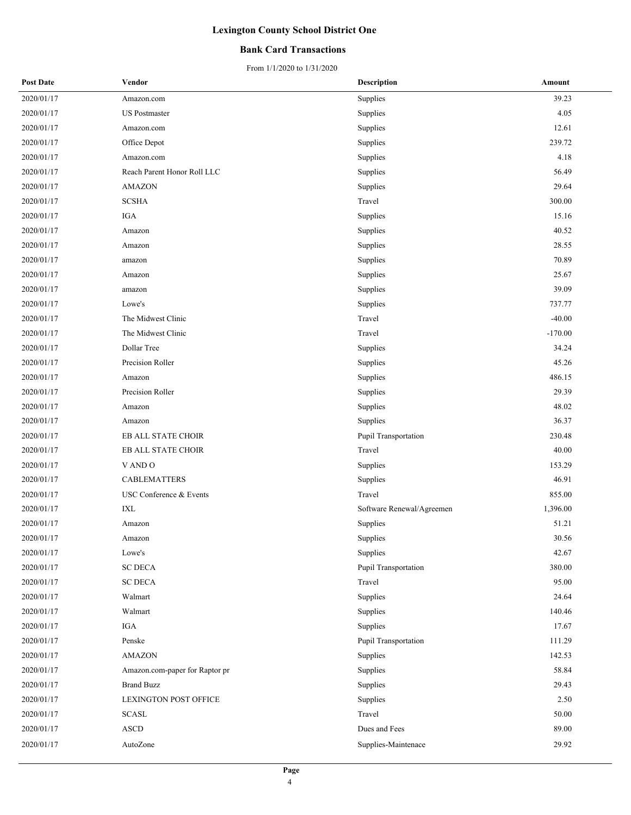### **Bank Card Transactions**

| <b>Post Date</b> | Vendor                         | <b>Description</b>        | Amount    |
|------------------|--------------------------------|---------------------------|-----------|
| 2020/01/17       | Amazon.com                     | Supplies                  | 39.23     |
| 2020/01/17       | <b>US</b> Postmaster           | Supplies                  | 4.05      |
| 2020/01/17       | Amazon.com                     | Supplies                  | 12.61     |
| 2020/01/17       | Office Depot                   | Supplies                  | 239.72    |
| 2020/01/17       | Amazon.com                     | Supplies                  | 4.18      |
| 2020/01/17       | Reach Parent Honor Roll LLC    | Supplies                  | 56.49     |
| 2020/01/17       | <b>AMAZON</b>                  | Supplies                  | 29.64     |
| 2020/01/17       | <b>SCSHA</b>                   | Travel                    | 300.00    |
| 2020/01/17       | IGA                            | Supplies                  | 15.16     |
| 2020/01/17       | Amazon                         | Supplies                  | 40.52     |
| 2020/01/17       | Amazon                         | Supplies                  | 28.55     |
| 2020/01/17       | amazon                         | Supplies                  | 70.89     |
| 2020/01/17       | Amazon                         | Supplies                  | 25.67     |
| 2020/01/17       | amazon                         | Supplies                  | 39.09     |
| 2020/01/17       | Lowe's                         | Supplies                  | 737.77    |
| 2020/01/17       | The Midwest Clinic             | Travel                    | $-40.00$  |
| 2020/01/17       | The Midwest Clinic             | Travel                    | $-170.00$ |
| 2020/01/17       | Dollar Tree                    | Supplies                  | 34.24     |
| 2020/01/17       | Precision Roller               | Supplies                  | 45.26     |
| 2020/01/17       | Amazon                         | Supplies                  | 486.15    |
| 2020/01/17       | Precision Roller               | Supplies                  | 29.39     |
| 2020/01/17       | Amazon                         | Supplies                  | 48.02     |
| 2020/01/17       | Amazon                         | Supplies                  | 36.37     |
| 2020/01/17       | EB ALL STATE CHOIR             | Pupil Transportation      | 230.48    |
| 2020/01/17       | EB ALL STATE CHOIR             | Travel                    | 40.00     |
| 2020/01/17       | V AND O                        | Supplies                  | 153.29    |
| 2020/01/17       | <b>CABLEMATTERS</b>            | Supplies                  | 46.91     |
| 2020/01/17       | USC Conference & Events        | Travel                    | 855.00    |
| 2020/01/17       | IXL                            | Software Renewal/Agreemen | 1,396.00  |
| 2020/01/17       | Amazon                         | Supplies                  | 51.21     |
| 2020/01/17       | Amazon                         | Supplies                  | 30.56     |
| 2020/01/17       | Lowe's                         | Supplies                  | 42.67     |
| 2020/01/17       | <b>SC DECA</b>                 | Pupil Transportation      | 380.00    |
| 2020/01/17       | <b>SC DECA</b>                 | Travel                    | 95.00     |
| 2020/01/17       | Walmart                        | Supplies                  | 24.64     |
| 2020/01/17       | Walmart                        | Supplies                  | 140.46    |
| 2020/01/17       | IGA                            | Supplies                  | 17.67     |
| 2020/01/17       | Penske                         | Pupil Transportation      | 111.29    |
| 2020/01/17       | <b>AMAZON</b>                  | Supplies                  | 142.53    |
| 2020/01/17       | Amazon.com-paper for Raptor pr | Supplies                  | 58.84     |
| 2020/01/17       | <b>Brand Buzz</b>              | Supplies                  | 29.43     |
| 2020/01/17       | LEXINGTON POST OFFICE          | Supplies                  | 2.50      |
| 2020/01/17       | <b>SCASL</b>                   | Travel                    | 50.00     |
| 2020/01/17       | <b>ASCD</b>                    | Dues and Fees             | 89.00     |
| 2020/01/17       | AutoZone                       | Supplies-Maintenace       | 29.92     |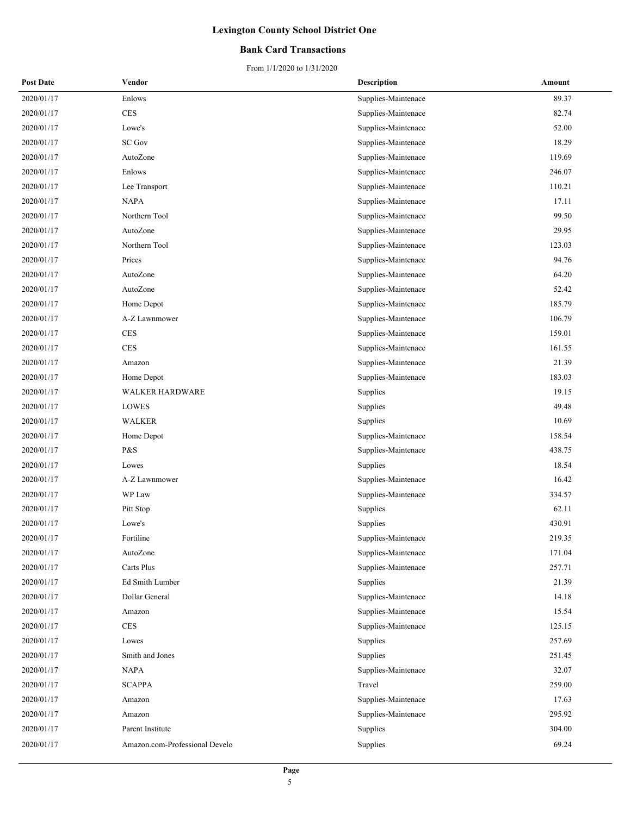### **Bank Card Transactions**

| <b>Post Date</b> | Vendor                         | <b>Description</b>  | Amount |
|------------------|--------------------------------|---------------------|--------|
| 2020/01/17       | Enlows                         | Supplies-Maintenace | 89.37  |
| 2020/01/17       | <b>CES</b>                     | Supplies-Maintenace | 82.74  |
| 2020/01/17       | Lowe's                         | Supplies-Maintenace | 52.00  |
| 2020/01/17       | <b>SC Gov</b>                  | Supplies-Maintenace | 18.29  |
| 2020/01/17       | AutoZone                       | Supplies-Maintenace | 119.69 |
| 2020/01/17       | Enlows                         | Supplies-Maintenace | 246.07 |
| 2020/01/17       | Lee Transport                  | Supplies-Maintenace | 110.21 |
| 2020/01/17       | <b>NAPA</b>                    | Supplies-Maintenace | 17.11  |
| 2020/01/17       | Northern Tool                  | Supplies-Maintenace | 99.50  |
| 2020/01/17       | AutoZone                       | Supplies-Maintenace | 29.95  |
| 2020/01/17       | Northern Tool                  | Supplies-Maintenace | 123.03 |
| 2020/01/17       | Prices                         | Supplies-Maintenace | 94.76  |
| 2020/01/17       | AutoZone                       | Supplies-Maintenace | 64.20  |
| 2020/01/17       | AutoZone                       | Supplies-Maintenace | 52.42  |
| 2020/01/17       | Home Depot                     | Supplies-Maintenace | 185.79 |
| 2020/01/17       | A-Z Lawnmower                  | Supplies-Maintenace | 106.79 |
| 2020/01/17       | <b>CES</b>                     | Supplies-Maintenace | 159.01 |
| 2020/01/17       | <b>CES</b>                     | Supplies-Maintenace | 161.55 |
| 2020/01/17       | Amazon                         | Supplies-Maintenace | 21.39  |
| 2020/01/17       | Home Depot                     | Supplies-Maintenace | 183.03 |
| 2020/01/17       | <b>WALKER HARDWARE</b>         | Supplies            | 19.15  |
| 2020/01/17       | LOWES                          | Supplies            | 49.48  |
| 2020/01/17       | <b>WALKER</b>                  | Supplies            | 10.69  |
| 2020/01/17       | Home Depot                     | Supplies-Maintenace | 158.54 |
| 2020/01/17       | P&S                            | Supplies-Maintenace | 438.75 |
| 2020/01/17       | Lowes                          | Supplies            | 18.54  |
| 2020/01/17       | A-Z Lawnmower                  | Supplies-Maintenace | 16.42  |
| 2020/01/17       | WP Law                         | Supplies-Maintenace | 334.57 |
| 2020/01/17       | Pitt Stop                      | Supplies            | 62.11  |
| 2020/01/17       | Lowe's                         | Supplies            | 430.91 |
| 2020/01/17       | Fortiline                      | Supplies-Maintenace | 219.35 |
| 2020/01/17       | AutoZone                       | Supplies-Maintenace | 171.04 |
| 2020/01/17       | Carts Plus                     | Supplies-Maintenace | 257.71 |
| 2020/01/17       | Ed Smith Lumber                | Supplies            | 21.39  |
| 2020/01/17       | Dollar General                 | Supplies-Maintenace | 14.18  |
| 2020/01/17       | Amazon                         | Supplies-Maintenace | 15.54  |
| 2020/01/17       | CES                            | Supplies-Maintenace | 125.15 |
| 2020/01/17       | Lowes                          | Supplies            | 257.69 |
| 2020/01/17       | Smith and Jones                | Supplies            | 251.45 |
| 2020/01/17       | <b>NAPA</b>                    | Supplies-Maintenace | 32.07  |
| 2020/01/17       | <b>SCAPPA</b>                  | Travel              | 259.00 |
| 2020/01/17       | Amazon                         | Supplies-Maintenace | 17.63  |
| 2020/01/17       | Amazon                         | Supplies-Maintenace | 295.92 |
| 2020/01/17       | Parent Institute               | Supplies            | 304.00 |
| 2020/01/17       | Amazon.com-Professional Develo | Supplies            | 69.24  |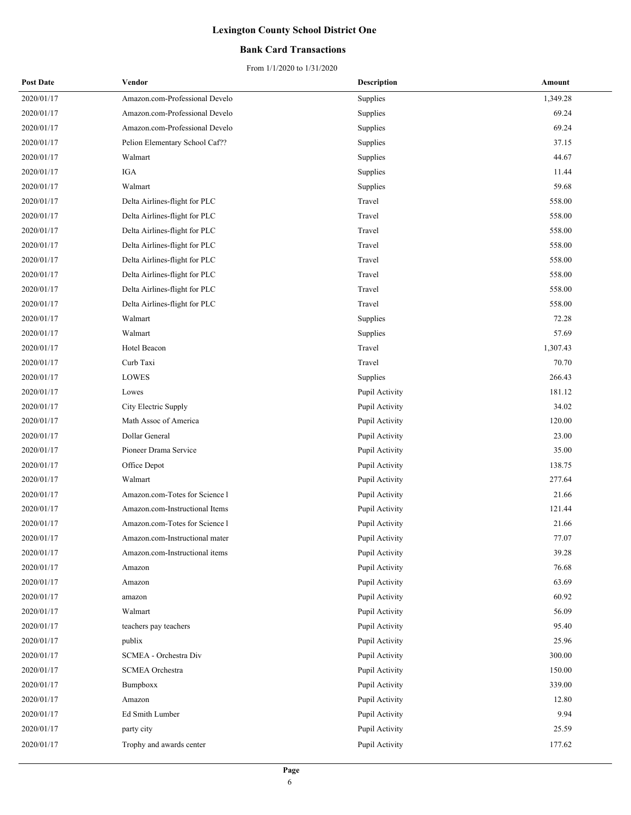### **Bank Card Transactions**

| <b>Post Date</b> | Vendor                         | <b>Description</b> | Amount   |
|------------------|--------------------------------|--------------------|----------|
| 2020/01/17       | Amazon.com-Professional Develo | Supplies           | 1,349.28 |
| 2020/01/17       | Amazon.com-Professional Develo | Supplies           | 69.24    |
| 2020/01/17       | Amazon.com-Professional Develo | Supplies           | 69.24    |
| 2020/01/17       | Pelion Elementary School Caf?? | Supplies           | 37.15    |
| 2020/01/17       | Walmart                        | Supplies           | 44.67    |
| 2020/01/17       | IGA                            | Supplies           | 11.44    |
| 2020/01/17       | Walmart                        | Supplies           | 59.68    |
| 2020/01/17       | Delta Airlines-flight for PLC  | Travel             | 558.00   |
| 2020/01/17       | Delta Airlines-flight for PLC  | Travel             | 558.00   |
| 2020/01/17       | Delta Airlines-flight for PLC  | Travel             | 558.00   |
| 2020/01/17       | Delta Airlines-flight for PLC  | Travel             | 558.00   |
| 2020/01/17       | Delta Airlines-flight for PLC  | Travel             | 558.00   |
| 2020/01/17       | Delta Airlines-flight for PLC  | Travel             | 558.00   |
| 2020/01/17       | Delta Airlines-flight for PLC  | Travel             | 558.00   |
| 2020/01/17       | Delta Airlines-flight for PLC  | Travel             | 558.00   |
| 2020/01/17       | Walmart                        | Supplies           | 72.28    |
| 2020/01/17       | Walmart                        | Supplies           | 57.69    |
| 2020/01/17       | Hotel Beacon                   | Travel             | 1,307.43 |
| 2020/01/17       | Curb Taxi                      | Travel             | 70.70    |
| 2020/01/17       | <b>LOWES</b>                   | Supplies           | 266.43   |
| 2020/01/17       | Lowes                          | Pupil Activity     | 181.12   |
| 2020/01/17       | City Electric Supply           | Pupil Activity     | 34.02    |
| 2020/01/17       | Math Assoc of America          | Pupil Activity     | 120.00   |
| 2020/01/17       | Dollar General                 | Pupil Activity     | 23.00    |
| 2020/01/17       | Pioneer Drama Service          | Pupil Activity     | 35.00    |
| 2020/01/17       | Office Depot                   | Pupil Activity     | 138.75   |
| 2020/01/17       | Walmart                        | Pupil Activity     | 277.64   |
| 2020/01/17       | Amazon.com-Totes for Science 1 | Pupil Activity     | 21.66    |
| 2020/01/17       | Amazon.com-Instructional Items | Pupil Activity     | 121.44   |
| 2020/01/17       | Amazon.com-Totes for Science 1 | Pupil Activity     | 21.66    |
| 2020/01/17       | Amazon.com-Instructional mater | Pupil Activity     | 77.07    |
| 2020/01/17       | Amazon.com-Instructional items | Pupil Activity     | 39.28    |
| 2020/01/17       | Amazon                         | Pupil Activity     | 76.68    |
| 2020/01/17       | Amazon                         | Pupil Activity     | 63.69    |
| 2020/01/17       | amazon                         | Pupil Activity     | 60.92    |
| 2020/01/17       | Walmart                        | Pupil Activity     | 56.09    |
| 2020/01/17       | teachers pay teachers          | Pupil Activity     | 95.40    |
| 2020/01/17       | publix                         | Pupil Activity     | 25.96    |
| 2020/01/17       | SCMEA - Orchestra Div          | Pupil Activity     | 300.00   |
| 2020/01/17       | <b>SCMEA</b> Orchestra         | Pupil Activity     | 150.00   |
| 2020/01/17       | Bumpboxx                       | Pupil Activity     | 339.00   |
| 2020/01/17       | Amazon                         | Pupil Activity     | 12.80    |
| 2020/01/17       | Ed Smith Lumber                | Pupil Activity     | 9.94     |
| 2020/01/17       | party city                     | Pupil Activity     | 25.59    |
| 2020/01/17       | Trophy and awards center       | Pupil Activity     | 177.62   |
|                  |                                |                    |          |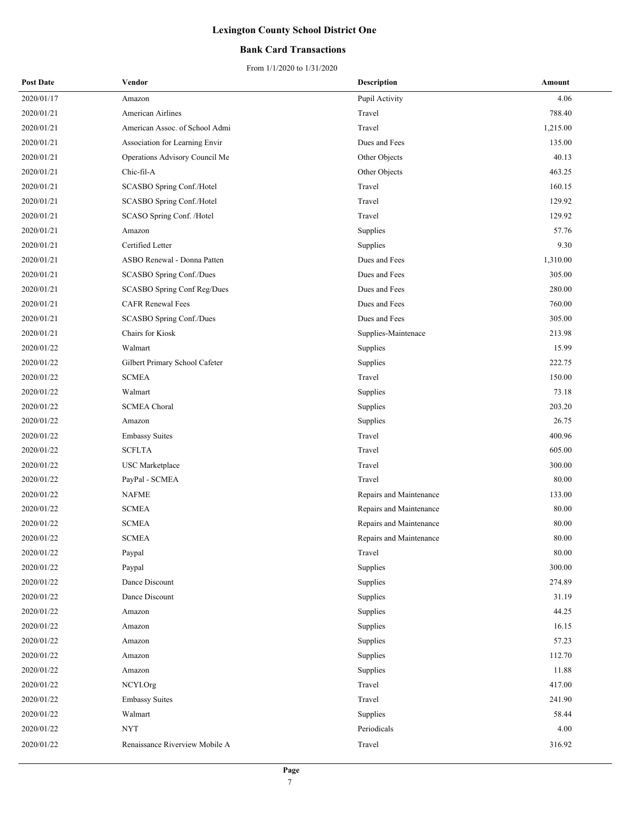### **Bank Card Transactions**

| <b>Post Date</b> | Vendor                         | <b>Description</b>      | Amount   |
|------------------|--------------------------------|-------------------------|----------|
| 2020/01/17       | Amazon                         | Pupil Activity          | 4.06     |
| 2020/01/21       | American Airlines              | Travel                  | 788.40   |
| 2020/01/21       | American Assoc. of School Admi | Travel                  | 1,215.00 |
| 2020/01/21       | Association for Learning Envir | Dues and Fees           | 135.00   |
| 2020/01/21       | Operations Advisory Council Me | Other Objects           | 40.13    |
| 2020/01/21       | Chic-fil-A                     | Other Objects           | 463.25   |
| 2020/01/21       | SCASBO Spring Conf./Hotel      | Travel                  | 160.15   |
| 2020/01/21       | SCASBO Spring Conf./Hotel      | Travel                  | 129.92   |
| 2020/01/21       | SCASO Spring Conf. /Hotel      | Travel                  | 129.92   |
| 2020/01/21       | Amazon                         | Supplies                | 57.76    |
| 2020/01/21       | Certified Letter               | Supplies                | 9.30     |
| 2020/01/21       | ASBO Renewal - Donna Patten    | Dues and Fees           | 1,310.00 |
| 2020/01/21       | SCASBO Spring Conf./Dues       | Dues and Fees           | 305.00   |
| 2020/01/21       | SCASBO Spring Conf Reg/Dues    | Dues and Fees           | 280.00   |
| 2020/01/21       | <b>CAFR Renewal Fees</b>       | Dues and Fees           | 760.00   |
| 2020/01/21       | SCASBO Spring Conf./Dues       | Dues and Fees           | 305.00   |
| 2020/01/21       | Chairs for Kiosk               | Supplies-Maintenace     | 213.98   |
| 2020/01/22       | Walmart                        | Supplies                | 15.99    |
| 2020/01/22       | Gilbert Primary School Cafeter | Supplies                | 222.75   |
| 2020/01/22       | <b>SCMEA</b>                   | Travel                  | 150.00   |
| 2020/01/22       | Walmart                        | Supplies                | 73.18    |
| 2020/01/22       | <b>SCMEA Choral</b>            | Supplies                | 203.20   |
| 2020/01/22       | Amazon                         | Supplies                | 26.75    |
| 2020/01/22       | <b>Embassy Suites</b>          | Travel                  | 400.96   |
| 2020/01/22       | <b>SCFLTA</b>                  | Travel                  | 605.00   |
| 2020/01/22       | USC Marketplace                | Travel                  | 300.00   |
| 2020/01/22       | PayPal - SCMEA                 | Travel                  | 80.00    |
| 2020/01/22       | <b>NAFME</b>                   | Repairs and Maintenance | 133.00   |
| 2020/01/22       | <b>SCMEA</b>                   | Repairs and Maintenance | 80.00    |
| 2020/01/22       | <b>SCMEA</b>                   | Repairs and Maintenance | 80.00    |
| 2020/01/22       | <b>SCMEA</b>                   | Repairs and Maintenance | 80.00    |
| 2020/01/22       | Paypal                         | Travel                  | 80.00    |
| 2020/01/22       | Paypal                         | Supplies                | 300.00   |
| 2020/01/22       | Dance Discount                 | Supplies                | 274.89   |
| 2020/01/22       | Dance Discount                 | Supplies                | 31.19    |
| 2020/01/22       | Amazon                         | Supplies                | 44.25    |
| 2020/01/22       | Amazon                         | Supplies                | 16.15    |
| 2020/01/22       | Amazon                         | Supplies                | 57.23    |
| 2020/01/22       | Amazon                         | Supplies                | 112.70   |
| 2020/01/22       | Amazon                         | Supplies                | 11.88    |
| 2020/01/22       | NCYI.Org                       | Travel                  | 417.00   |
| 2020/01/22       | <b>Embassy Suites</b>          | Travel                  | 241.90   |
| 2020/01/22       | Walmart                        | Supplies                | 58.44    |
| 2020/01/22       | <b>NYT</b>                     | Periodicals             | 4.00     |
| 2020/01/22       | Renaissance Riverview Mobile A | Travel                  | 316.92   |
|                  |                                |                         |          |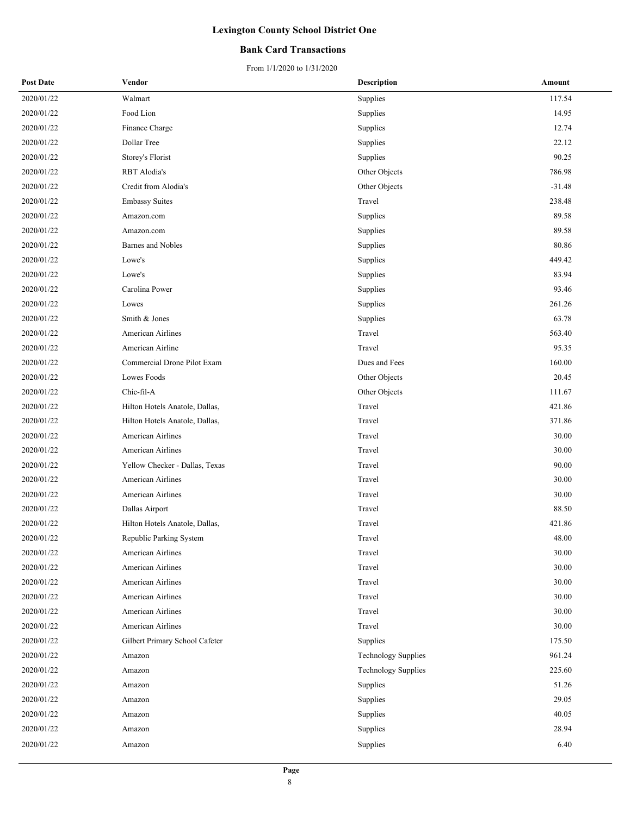### **Bank Card Transactions**

| <b>Post Date</b> | Vendor                         | <b>Description</b>         | Amount   |
|------------------|--------------------------------|----------------------------|----------|
| 2020/01/22       | Walmart                        | Supplies                   | 117.54   |
| 2020/01/22       | Food Lion                      | Supplies                   | 14.95    |
| 2020/01/22       | Finance Charge                 | Supplies                   | 12.74    |
| 2020/01/22       | Dollar Tree                    | Supplies                   | 22.12    |
| 2020/01/22       | Storey's Florist               | Supplies                   | 90.25    |
| 2020/01/22       | RBT Alodia's                   | Other Objects              | 786.98   |
| 2020/01/22       | Credit from Alodia's           | Other Objects              | $-31.48$ |
| 2020/01/22       | <b>Embassy Suites</b>          | Travel                     | 238.48   |
| 2020/01/22       | Amazon.com                     | Supplies                   | 89.58    |
| 2020/01/22       | Amazon.com                     | Supplies                   | 89.58    |
| 2020/01/22       | <b>Barnes and Nobles</b>       | Supplies                   | 80.86    |
| 2020/01/22       | Lowe's                         | Supplies                   | 449.42   |
| 2020/01/22       | Lowe's                         | Supplies                   | 83.94    |
| 2020/01/22       | Carolina Power                 | Supplies                   | 93.46    |
| 2020/01/22       | Lowes                          | Supplies                   | 261.26   |
| 2020/01/22       | Smith & Jones                  | Supplies                   | 63.78    |
| 2020/01/22       | American Airlines              | Travel                     | 563.40   |
| 2020/01/22       | American Airline               | Travel                     | 95.35    |
| 2020/01/22       | Commercial Drone Pilot Exam    | Dues and Fees              | 160.00   |
| 2020/01/22       | Lowes Foods                    | Other Objects              | 20.45    |
| 2020/01/22       | Chic-fil-A                     | Other Objects              | 111.67   |
| 2020/01/22       | Hilton Hotels Anatole, Dallas, | Travel                     | 421.86   |
| 2020/01/22       | Hilton Hotels Anatole, Dallas, | Travel                     | 371.86   |
| 2020/01/22       | American Airlines              | Travel                     | 30.00    |
| 2020/01/22       | American Airlines              | Travel                     | 30.00    |
| 2020/01/22       | Yellow Checker - Dallas, Texas | Travel                     | 90.00    |
| 2020/01/22       | American Airlines              | Travel                     | 30.00    |
| 2020/01/22       | American Airlines              | Travel                     | 30.00    |
| 2020/01/22       | Dallas Airport                 | Travel                     | 88.50    |
| 2020/01/22       | Hilton Hotels Anatole, Dallas, | Travel                     | 421.86   |
| 2020/01/22       | Republic Parking System        | Travel                     | 48.00    |
| 2020/01/22       | <b>American Airlines</b>       | Travel                     | 30.00    |
| 2020/01/22       | American Airlines              | Travel                     | 30.00    |
| 2020/01/22       | American Airlines              | Travel                     | 30.00    |
| 2020/01/22       | American Airlines              | Travel                     | 30.00    |
| 2020/01/22       | American Airlines              | Travel                     | 30.00    |
| 2020/01/22       | American Airlines              | Travel                     | 30.00    |
| 2020/01/22       | Gilbert Primary School Cafeter | Supplies                   | 175.50   |
| 2020/01/22       | Amazon                         | <b>Technology Supplies</b> | 961.24   |
| 2020/01/22       | Amazon                         | <b>Technology Supplies</b> | 225.60   |
| 2020/01/22       | Amazon                         | Supplies                   | 51.26    |
| 2020/01/22       | Amazon                         | Supplies                   | 29.05    |
| 2020/01/22       | Amazon                         | Supplies                   | 40.05    |
| 2020/01/22       | Amazon                         | Supplies                   | 28.94    |
| 2020/01/22       | Amazon                         | Supplies                   | 6.40     |
|                  |                                |                            |          |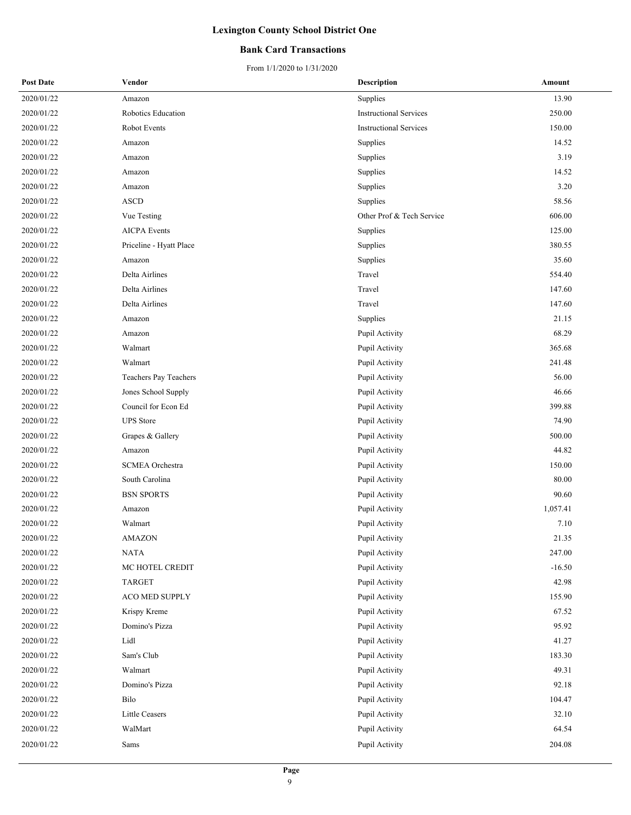### **Bank Card Transactions**

| <b>Post Date</b> | Vendor                  | <b>Description</b>            | Amount   |
|------------------|-------------------------|-------------------------------|----------|
| 2020/01/22       | Amazon                  | Supplies                      | 13.90    |
| 2020/01/22       | Robotics Education      | <b>Instructional Services</b> | 250.00   |
| 2020/01/22       | Robot Events            | <b>Instructional Services</b> | 150.00   |
| 2020/01/22       | Amazon                  | Supplies                      | 14.52    |
| 2020/01/22       | Amazon                  | Supplies                      | 3.19     |
| 2020/01/22       | Amazon                  | Supplies                      | 14.52    |
| 2020/01/22       | Amazon                  | Supplies                      | 3.20     |
| 2020/01/22       | <b>ASCD</b>             | Supplies                      | 58.56    |
| 2020/01/22       | Vue Testing             | Other Prof & Tech Service     | 606.00   |
| 2020/01/22       | <b>AICPA</b> Events     | Supplies                      | 125.00   |
| 2020/01/22       | Priceline - Hyatt Place | Supplies                      | 380.55   |
| 2020/01/22       | Amazon                  | Supplies                      | 35.60    |
| 2020/01/22       | Delta Airlines          | Travel                        | 554.40   |
| 2020/01/22       | Delta Airlines          | Travel                        | 147.60   |
| 2020/01/22       | Delta Airlines          | Travel                        | 147.60   |
| 2020/01/22       | Amazon                  | Supplies                      | 21.15    |
| 2020/01/22       | Amazon                  | Pupil Activity                | 68.29    |
| 2020/01/22       | Walmart                 | Pupil Activity                | 365.68   |
| 2020/01/22       | Walmart                 | Pupil Activity                | 241.48   |
| 2020/01/22       | Teachers Pay Teachers   | Pupil Activity                | 56.00    |
| 2020/01/22       | Jones School Supply     | Pupil Activity                | 46.66    |
| 2020/01/22       | Council for Econ Ed     | Pupil Activity                | 399.88   |
| 2020/01/22       | <b>UPS</b> Store        | Pupil Activity                | 74.90    |
| 2020/01/22       | Grapes & Gallery        | Pupil Activity                | 500.00   |
| 2020/01/22       | Amazon                  | Pupil Activity                | 44.82    |
| 2020/01/22       | <b>SCMEA</b> Orchestra  | Pupil Activity                | 150.00   |
| 2020/01/22       | South Carolina          | Pupil Activity                | 80.00    |
| 2020/01/22       | <b>BSN SPORTS</b>       | Pupil Activity                | 90.60    |
| 2020/01/22       | Amazon                  | Pupil Activity                | 1,057.41 |
| 2020/01/22       | Walmart                 | Pupil Activity                | 7.10     |
| 2020/01/22       | <b>AMAZON</b>           | Pupil Activity                | 21.35    |
| 2020/01/22       | <b>NATA</b>             | Pupil Activity                | 247.00   |
| 2020/01/22       | MC HOTEL CREDIT         | Pupil Activity                | $-16.50$ |
| 2020/01/22       | TARGET                  | Pupil Activity                | 42.98    |
| 2020/01/22       | ACO MED SUPPLY          | Pupil Activity                | 155.90   |
| 2020/01/22       | Krispy Kreme            | Pupil Activity                | 67.52    |
| 2020/01/22       | Domino's Pizza          | Pupil Activity                | 95.92    |
| 2020/01/22       | Lidl                    | Pupil Activity                | 41.27    |
| 2020/01/22       | Sam's Club              | Pupil Activity                | 183.30   |
| 2020/01/22       | Walmart                 | Pupil Activity                | 49.31    |
| 2020/01/22       | Domino's Pizza          | Pupil Activity                | 92.18    |
| 2020/01/22       | Bilo                    | Pupil Activity                | 104.47   |
| 2020/01/22       | Little Ceasers          | Pupil Activity                | 32.10    |
| 2020/01/22       | WalMart                 | Pupil Activity                | 64.54    |
| 2020/01/22       | Sams                    | Pupil Activity                | 204.08   |
|                  |                         |                               |          |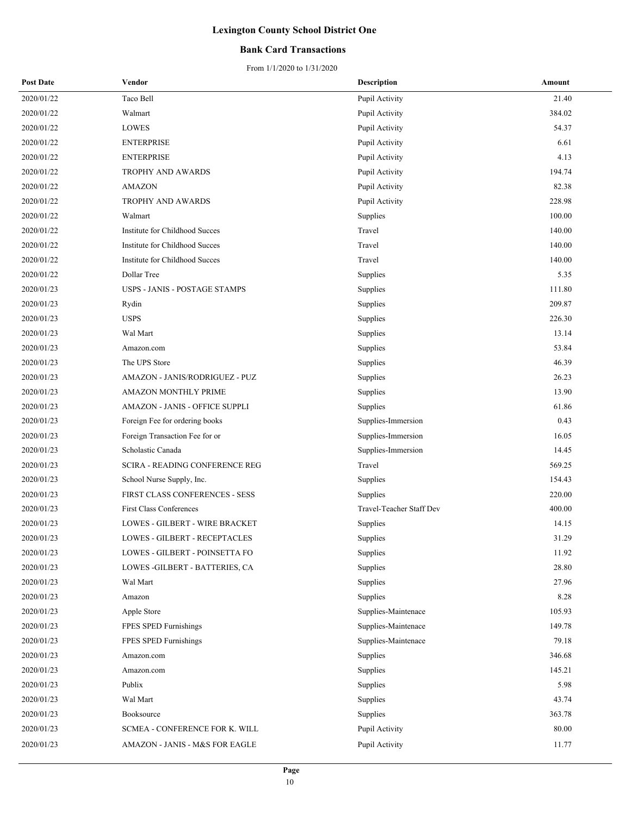### **Bank Card Transactions**

| <b>Post Date</b> | Vendor                          | <b>Description</b>       | Amount |
|------------------|---------------------------------|--------------------------|--------|
| 2020/01/22       | Taco Bell                       | Pupil Activity           | 21.40  |
| 2020/01/22       | Walmart                         | Pupil Activity           | 384.02 |
| 2020/01/22       | <b>LOWES</b>                    | Pupil Activity           | 54.37  |
| 2020/01/22       | <b>ENTERPRISE</b>               | Pupil Activity           | 6.61   |
| 2020/01/22       | <b>ENTERPRISE</b>               | Pupil Activity           | 4.13   |
| 2020/01/22       | TROPHY AND AWARDS               | Pupil Activity           | 194.74 |
| 2020/01/22       | <b>AMAZON</b>                   | Pupil Activity           | 82.38  |
| 2020/01/22       | TROPHY AND AWARDS               | Pupil Activity           | 228.98 |
| 2020/01/22       | Walmart                         | Supplies                 | 100.00 |
| 2020/01/22       | Institute for Childhood Succes  | Travel                   | 140.00 |
| 2020/01/22       | Institute for Childhood Succes  | Travel                   | 140.00 |
| 2020/01/22       | Institute for Childhood Succes  | Travel                   | 140.00 |
| 2020/01/22       | Dollar Tree                     | Supplies                 | 5.35   |
| 2020/01/23       | USPS - JANIS - POSTAGE STAMPS   | Supplies                 | 111.80 |
| 2020/01/23       | Rydin                           | Supplies                 | 209.87 |
| 2020/01/23       | <b>USPS</b>                     | Supplies                 | 226.30 |
| 2020/01/23       | Wal Mart                        | Supplies                 | 13.14  |
| 2020/01/23       | Amazon.com                      | Supplies                 | 53.84  |
| 2020/01/23       | The UPS Store                   | Supplies                 | 46.39  |
| 2020/01/23       | AMAZON - JANIS/RODRIGUEZ - PUZ  | Supplies                 | 26.23  |
| 2020/01/23       | AMAZON MONTHLY PRIME            | Supplies                 | 13.90  |
| 2020/01/23       | AMAZON - JANIS - OFFICE SUPPLI  | Supplies                 | 61.86  |
| 2020/01/23       | Foreign Fee for ordering books  | Supplies-Immersion       | 0.43   |
| 2020/01/23       | Foreign Transaction Fee for or  | Supplies-Immersion       | 16.05  |
| 2020/01/23       | Scholastic Canada               | Supplies-Immersion       | 14.45  |
| 2020/01/23       | SCIRA - READING CONFERENCE REG  | Travel                   | 569.25 |
| 2020/01/23       | School Nurse Supply, Inc.       | Supplies                 | 154.43 |
| 2020/01/23       | FIRST CLASS CONFERENCES - SESS  | Supplies                 | 220.00 |
| 2020/01/23       | <b>First Class Conferences</b>  | Travel-Teacher Staff Dev | 400.00 |
| 2020/01/23       | LOWES - GILBERT - WIRE BRACKET  | Supplies                 | 14.15  |
| 2020/01/23       | LOWES - GILBERT - RECEPTACLES   | Supplies                 | 31.29  |
| 2020/01/23       | LOWES - GILBERT - POINSETTA FO  | Supplies                 | 11.92  |
| 2020/01/23       | LOWES - GILBERT - BATTERIES, CA | Supplies                 | 28.80  |
| 2020/01/23       | Wal Mart                        | Supplies                 | 27.96  |
| 2020/01/23       | Amazon                          | Supplies                 | 8.28   |
| 2020/01/23       | Apple Store                     | Supplies-Maintenace      | 105.93 |
| 2020/01/23       | FPES SPED Furnishings           | Supplies-Maintenace      | 149.78 |
| 2020/01/23       | FPES SPED Furnishings           | Supplies-Maintenace      | 79.18  |
| 2020/01/23       | Amazon.com                      | Supplies                 | 346.68 |
| 2020/01/23       | Amazon.com                      | Supplies                 | 145.21 |
| 2020/01/23       | Publix                          | Supplies                 | 5.98   |
| 2020/01/23       | Wal Mart                        | Supplies                 | 43.74  |
| 2020/01/23       | Booksource                      | Supplies                 | 363.78 |
| 2020/01/23       | SCMEA - CONFERENCE FOR K. WILL  | Pupil Activity           | 80.00  |
| 2020/01/23       | AMAZON - JANIS - M&S FOR EAGLE  | Pupil Activity           | 11.77  |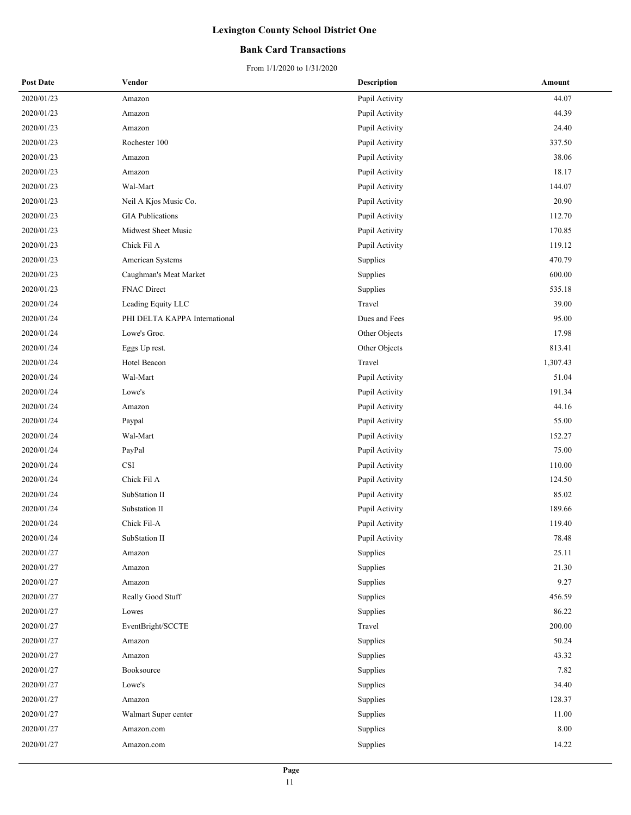### **Bank Card Transactions**

| <b>Post Date</b> | Vendor                        | <b>Description</b> | Amount   |
|------------------|-------------------------------|--------------------|----------|
| 2020/01/23       | Amazon                        | Pupil Activity     | 44.07    |
| 2020/01/23       | Amazon                        | Pupil Activity     | 44.39    |
| 2020/01/23       | Amazon                        | Pupil Activity     | 24.40    |
| 2020/01/23       | Rochester 100                 | Pupil Activity     | 337.50   |
| 2020/01/23       | Amazon                        | Pupil Activity     | 38.06    |
| 2020/01/23       | Amazon                        | Pupil Activity     | 18.17    |
| 2020/01/23       | Wal-Mart                      | Pupil Activity     | 144.07   |
| 2020/01/23       | Neil A Kjos Music Co.         | Pupil Activity     | 20.90    |
| 2020/01/23       | <b>GIA</b> Publications       | Pupil Activity     | 112.70   |
| 2020/01/23       | Midwest Sheet Music           | Pupil Activity     | 170.85   |
| 2020/01/23       | Chick Fil A                   | Pupil Activity     | 119.12   |
| 2020/01/23       | American Systems              | Supplies           | 470.79   |
| 2020/01/23       | Caughman's Meat Market        | Supplies           | 600.00   |
| 2020/01/23       | <b>FNAC Direct</b>            | Supplies           | 535.18   |
| 2020/01/24       | Leading Equity LLC            | Travel             | 39.00    |
| 2020/01/24       | PHI DELTA KAPPA International | Dues and Fees      | 95.00    |
| 2020/01/24       | Lowe's Groc.                  | Other Objects      | 17.98    |
| 2020/01/24       | Eggs Up rest.                 | Other Objects      | 813.41   |
| 2020/01/24       | Hotel Beacon                  | Travel             | 1,307.43 |
| 2020/01/24       | Wal-Mart                      | Pupil Activity     | 51.04    |
| 2020/01/24       | Lowe's                        | Pupil Activity     | 191.34   |
| 2020/01/24       | Amazon                        | Pupil Activity     | 44.16    |
| 2020/01/24       | Paypal                        | Pupil Activity     | 55.00    |
| 2020/01/24       | Wal-Mart                      | Pupil Activity     | 152.27   |
| 2020/01/24       | PayPal                        | Pupil Activity     | 75.00    |
| 2020/01/24       | $_{\rm CSI}$                  | Pupil Activity     | 110.00   |
| 2020/01/24       | Chick Fil A                   | Pupil Activity     | 124.50   |
| 2020/01/24       | SubStation II                 | Pupil Activity     | 85.02    |
| 2020/01/24       | Substation II                 | Pupil Activity     | 189.66   |
| 2020/01/24       | Chick Fil-A                   | Pupil Activity     | 119.40   |
| 2020/01/24       | SubStation II                 | Pupil Activity     | 78.48    |
| 2020/01/27       | Amazon                        | Supplies           | 25.11    |
| 2020/01/27       | Amazon                        | Supplies           | 21.30    |
| 2020/01/27       | Amazon                        | Supplies           | 9.27     |
| 2020/01/27       | Really Good Stuff             | Supplies           | 456.59   |
| 2020/01/27       | Lowes                         | Supplies           | 86.22    |
| 2020/01/27       | EventBright/SCCTE             | Travel             | 200.00   |
| 2020/01/27       | Amazon                        | Supplies           | 50.24    |
| 2020/01/27       | Amazon                        | Supplies           | 43.32    |
| 2020/01/27       | Booksource                    | Supplies           | 7.82     |
| 2020/01/27       | Lowe's                        | Supplies           | 34.40    |
| 2020/01/27       | Amazon                        | Supplies           | 128.37   |
| 2020/01/27       | Walmart Super center          | Supplies           | 11.00    |
| 2020/01/27       | Amazon.com                    | Supplies           | 8.00     |
| 2020/01/27       | Amazon.com                    | Supplies           | 14.22    |
|                  |                               |                    |          |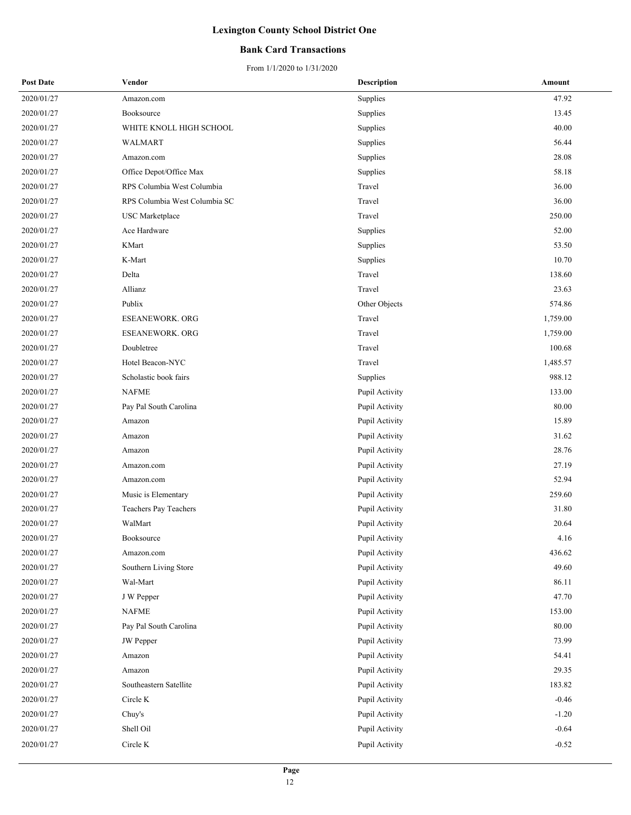### **Bank Card Transactions**

| <b>Post Date</b> | Vendor                        | Description    | Amount   |
|------------------|-------------------------------|----------------|----------|
| 2020/01/27       | Amazon.com                    | Supplies       | 47.92    |
| 2020/01/27       | Booksource                    | Supplies       | 13.45    |
| 2020/01/27       | WHITE KNOLL HIGH SCHOOL       | Supplies       | 40.00    |
| 2020/01/27       | WALMART                       | Supplies       | 56.44    |
| 2020/01/27       | Amazon.com                    | Supplies       | 28.08    |
| 2020/01/27       | Office Depot/Office Max       | Supplies       | 58.18    |
| 2020/01/27       | RPS Columbia West Columbia    | Travel         | 36.00    |
| 2020/01/27       | RPS Columbia West Columbia SC | Travel         | 36.00    |
| 2020/01/27       | <b>USC</b> Marketplace        | Travel         | 250.00   |
| 2020/01/27       | Ace Hardware                  | Supplies       | 52.00    |
| 2020/01/27       | KMart                         | Supplies       | 53.50    |
| 2020/01/27       | K-Mart                        | Supplies       | 10.70    |
| 2020/01/27       | Delta                         | Travel         | 138.60   |
| 2020/01/27       | Allianz                       | Travel         | 23.63    |
| 2020/01/27       | Publix                        | Other Objects  | 574.86   |
| 2020/01/27       | <b>ESEANEWORK. ORG</b>        | Travel         | 1,759.00 |
| 2020/01/27       | <b>ESEANEWORK. ORG</b>        | Travel         | 1,759.00 |
| 2020/01/27       | Doubletree                    | Travel         | 100.68   |
| 2020/01/27       | Hotel Beacon-NYC              | Travel         | 1,485.57 |
| 2020/01/27       | Scholastic book fairs         | Supplies       | 988.12   |
| 2020/01/27       | <b>NAFME</b>                  | Pupil Activity | 133.00   |
| 2020/01/27       | Pay Pal South Carolina        | Pupil Activity | 80.00    |
| 2020/01/27       | Amazon                        | Pupil Activity | 15.89    |
| 2020/01/27       | Amazon                        | Pupil Activity | 31.62    |
| 2020/01/27       | Amazon                        | Pupil Activity | 28.76    |
| 2020/01/27       | Amazon.com                    | Pupil Activity | 27.19    |
| 2020/01/27       | Amazon.com                    | Pupil Activity | 52.94    |
| 2020/01/27       | Music is Elementary           | Pupil Activity | 259.60   |
| 2020/01/27       | Teachers Pay Teachers         | Pupil Activity | 31.80    |
| 2020/01/27       | WalMart                       | Pupil Activity | 20.64    |
| 2020/01/27       | Booksource                    | Pupil Activity | 4.16     |
| 2020/01/27       | Amazon.com                    | Pupil Activity | 436.62   |
| 2020/01/27       | Southern Living Store         | Pupil Activity | 49.60    |
| 2020/01/27       | Wal-Mart                      | Pupil Activity | 86.11    |
| 2020/01/27       | J W Pepper                    | Pupil Activity | 47.70    |
| 2020/01/27       | NAFME                         | Pupil Activity | 153.00   |
| 2020/01/27       | Pay Pal South Carolina        | Pupil Activity | 80.00    |
| 2020/01/27       | JW Pepper                     | Pupil Activity | 73.99    |
| 2020/01/27       | Amazon                        | Pupil Activity | 54.41    |
| 2020/01/27       | Amazon                        | Pupil Activity | 29.35    |
| 2020/01/27       | Southeastern Satellite        | Pupil Activity | 183.82   |
| 2020/01/27       | Circle K                      | Pupil Activity | $-0.46$  |
| 2020/01/27       | Chuy's                        | Pupil Activity | $-1.20$  |
| 2020/01/27       | Shell Oil                     | Pupil Activity | $-0.64$  |
| 2020/01/27       | Circle K                      | Pupil Activity | $-0.52$  |
|                  |                               |                |          |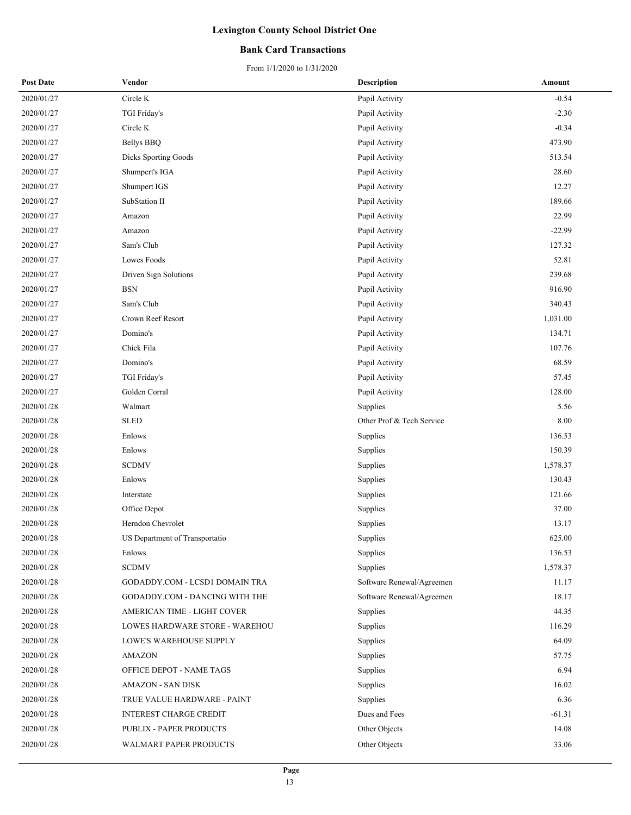### **Bank Card Transactions**

| <b>Post Date</b> | Vendor                         | <b>Description</b>        | Amount   |
|------------------|--------------------------------|---------------------------|----------|
| 2020/01/27       | Circle K                       | Pupil Activity            | $-0.54$  |
| 2020/01/27       | TGI Friday's                   | Pupil Activity            | $-2.30$  |
| 2020/01/27       | Circle K                       | Pupil Activity            | $-0.34$  |
| 2020/01/27       | <b>Bellys BBQ</b>              | Pupil Activity            | 473.90   |
| 2020/01/27       | <b>Dicks Sporting Goods</b>    | Pupil Activity            | 513.54   |
| 2020/01/27       | Shumpert's IGA                 | Pupil Activity            | 28.60    |
| 2020/01/27       | Shumpert IGS                   | Pupil Activity            | 12.27    |
| 2020/01/27       | SubStation II                  | Pupil Activity            | 189.66   |
| 2020/01/27       | Amazon                         | Pupil Activity            | 22.99    |
| 2020/01/27       | Amazon                         | Pupil Activity            | -22.99   |
| 2020/01/27       | Sam's Club                     | Pupil Activity            | 127.32   |
| 2020/01/27       | Lowes Foods                    | Pupil Activity            | 52.81    |
| 2020/01/27       | Driven Sign Solutions          | Pupil Activity            | 239.68   |
| 2020/01/27       | $_{\rm BSN}$                   | Pupil Activity            | 916.90   |
| 2020/01/27       | Sam's Club                     | Pupil Activity            | 340.43   |
| 2020/01/27       | Crown Reef Resort              | Pupil Activity            | 1,031.00 |
| 2020/01/27       | Domino's                       | Pupil Activity            | 134.71   |
| 2020/01/27       | Chick Fila                     | Pupil Activity            | 107.76   |
| 2020/01/27       | Domino's                       | Pupil Activity            | 68.59    |
| 2020/01/27       | TGI Friday's                   | Pupil Activity            | 57.45    |
| 2020/01/27       | Golden Corral                  | Pupil Activity            | 128.00   |
| 2020/01/28       | Walmart                        | Supplies                  | 5.56     |
| 2020/01/28       | <b>SLED</b>                    | Other Prof & Tech Service | 8.00     |
| 2020/01/28       | Enlows                         | Supplies                  | 136.53   |
| 2020/01/28       | Enlows                         | Supplies                  | 150.39   |
| 2020/01/28       | <b>SCDMV</b>                   | Supplies                  | 1,578.37 |
| 2020/01/28       | Enlows                         | Supplies                  | 130.43   |
| 2020/01/28       | Interstate                     | Supplies                  | 121.66   |
| 2020/01/28       | Office Depot                   | Supplies                  | 37.00    |
| 2020/01/28       | Herndon Chevrolet              | Supplies                  | 13.17    |
| 2020/01/28       | US Department of Transportatio | Supplies                  | 625.00   |
| 2020/01/28       | Enlows                         | Supplies                  | 136.53   |
| 2020/01/28       | <b>SCDMV</b>                   | Supplies                  | 1,578.37 |
| 2020/01/28       | GODADDY.COM - LCSD1 DOMAIN TRA | Software Renewal/Agreemen | 11.17    |
| 2020/01/28       | GODADDY.COM - DANCING WITH THE | Software Renewal/Agreemen | 18.17    |
| 2020/01/28       | AMERICAN TIME - LIGHT COVER    | Supplies                  | 44.35    |
| 2020/01/28       | LOWES HARDWARE STORE - WAREHOU | Supplies                  | 116.29   |
| 2020/01/28       | LOWE'S WAREHOUSE SUPPLY        | Supplies                  | 64.09    |
| 2020/01/28       | AMAZON                         | Supplies                  | 57.75    |
| 2020/01/28       | OFFICE DEPOT - NAME TAGS       | Supplies                  | 6.94     |
| 2020/01/28       | <b>AMAZON - SAN DISK</b>       | Supplies                  | 16.02    |
| 2020/01/28       | TRUE VALUE HARDWARE - PAINT    | Supplies                  | 6.36     |
| 2020/01/28       | <b>INTEREST CHARGE CREDIT</b>  | Dues and Fees             | $-61.31$ |
| 2020/01/28       | PUBLIX - PAPER PRODUCTS        | Other Objects             | 14.08    |
| 2020/01/28       | WALMART PAPER PRODUCTS         | Other Objects             | 33.06    |
|                  |                                |                           |          |